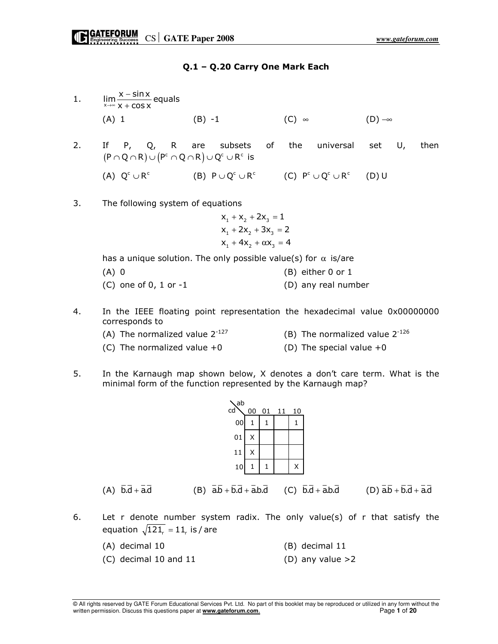#### Q.1 – Q.20 Carry One Mark Each

1.  $\lim_{x\to\infty}\frac{x-\sin x}{x+\cos x}$  equals − +  $(A)$  1 (B) −1 (C) ∞ (D) −∞ 2. If P, Q, R are subsets of the universal set U, then  $(P \cap Q \cap R) \cup (P^c \cap Q \cap R) \cup Q^c \cup R^c$  is (A)  $Q^c \cup R^c$  (B)  $P \cup Q^c \cup R^c$  (C)  $P^c \cup Q^c \cup R^c$  (D) U 3. The following system of equations  $x_1 + x_2 + 2x_3 = 1$ 

 $x_1 + 2x_2 + 3x_3 = 2$  $x_1 + 4x_2 + \alpha x_3 = 4$ 

has a unique solution. The only possible value(s) for  $\alpha$  is/are

- $(A)$  0 (A) 0 (B) either 0 or 1  $(C)$  one of 0, 1 or  $-1$  (D) any real number
- 4. In the IEEE floating point representation the hexadecimal value 0x00000000 corresponds to
	-
	- (A) The normalized value  $2^{-127}$  (B) The normalized value  $2^{-126}$
	- (C) The normalized value  $+0$  (D) The special value  $+0$ 
		-
- 5. In the Karnaugh map shown below, X denotes a don't care term. What is the minimal form of the function represented by the Karnaugh map?



(A)  $\overline{b}.\overline{d} + \overline{a}.\overline{d}$  (B)  $\overline{a}.\overline{b} + \overline{b}.\overline{d} + \overline{a}.\overline{b}.\overline{d}$  (C)  $\overline{b}.\overline{d} + \overline{a}.\overline{b}.\overline{d}$  (D)  $\overline{a}.\overline{b} + \overline{b}.\overline{d} + \overline{a}.\overline{d}$ 

- 6. Let r denote number system radix. The only value(s) of r that satisfy the equation  $\sqrt{121_r} = 11$  is / are
	- (A) decimal 10 (B) decimal 11  $(C)$  decimal 10 and 11 (D) any value  $>2$

© All rights reserved by GATE Forum Educational Services Pvt. Ltd. No part of this booklet may be reproduced or utilized in any form without the written permission. Discuss this questions paper at **www.gateforum.com**. Page **1** of **20**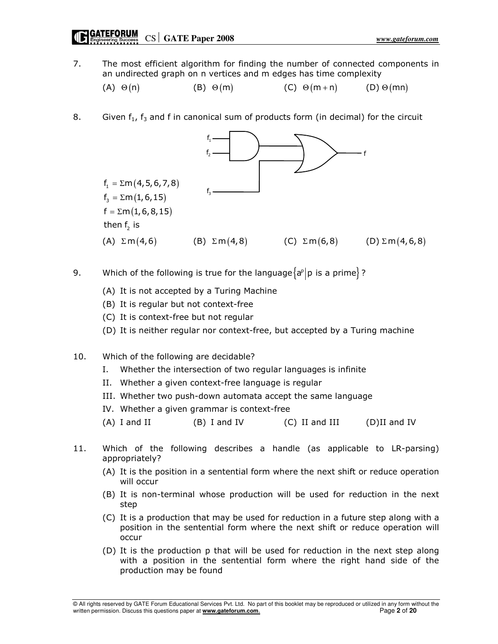7. The most efficient algorithm for finding the number of connected components in an undirected graph on n vertices and m edges has time complexity

(A)  $\Theta(n)$  (B)  $\Theta(m)$  (C)  $\Theta(m+n)$  (D)  $\Theta(mn)$ 

8. Given  $f_1$ ,  $f_3$  and f in canonical sum of products form (in decimal) for the circuit



- 9. Which of the following is true for the language $\{a^p | p$  is a prime $\}$ ?
	- (A) It is not accepted by a Turing Machine
	- (B) It is regular but not context-free
	- (C) It is context-free but not regular
	- (D) It is neither regular nor context-free, but accepted by a Turing machine
- 10. Which of the following are decidable?
	- I. Whether the intersection of two regular languages is infinite
	- II. Whether a given context-free language is regular
	- III. Whether two push-down automata accept the same language
	- IV. Whether a given grammar is context-free
	- (A) I and II (B) I and IV (C) II and III (D)II and IV
- 11. Which of the following describes a handle (as applicable to LR-parsing) appropriately?
	- (A) It is the position in a sentential form where the next shift or reduce operation will occur
	- (B) It is non-terminal whose production will be used for reduction in the next step
	- (C) It is a production that may be used for reduction in a future step along with a position in the sentential form where the next shift or reduce operation will occur
	- (D) It is the production p that will be used for reduction in the next step along with a position in the sentential form where the right hand side of the production may be found

© All rights reserved by GATE Forum Educational Services Pvt. Ltd. No part of this booklet may be reproduced or utilized in any form without the written permission. Discuss this questions paper at **www.gateforum.com**. Page **2** of **20**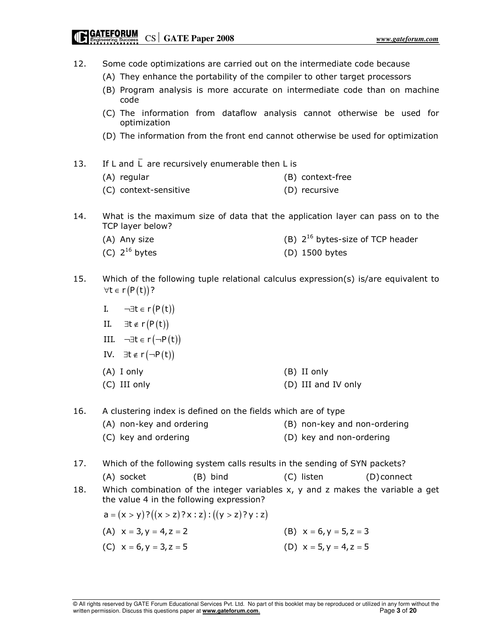# CS **GATE Paper 2008** *www.gateforum.com*

| 12. | Some code optimizations are carried out on the intermediate code because<br>(A) They enhance the portability of the compiler to other target processors<br>(B) Program analysis is more accurate on intermediate code than on machine<br>code<br>(C) The information from dataflow analysis cannot otherwise be used for |                                       |  |  |  |  |  |  |  |  |
|-----|--------------------------------------------------------------------------------------------------------------------------------------------------------------------------------------------------------------------------------------------------------------------------------------------------------------------------|---------------------------------------|--|--|--|--|--|--|--|--|
|     | optimization<br>(D) The information from the front end cannot otherwise be used for optimization                                                                                                                                                                                                                         |                                       |  |  |  |  |  |  |  |  |
| 13. | If L and $\overline{L}$ are recursively enumerable then L is                                                                                                                                                                                                                                                             |                                       |  |  |  |  |  |  |  |  |
|     | (A) regular                                                                                                                                                                                                                                                                                                              | (B) context-free                      |  |  |  |  |  |  |  |  |
|     | (C) context-sensitive                                                                                                                                                                                                                                                                                                    | (D) recursive                         |  |  |  |  |  |  |  |  |
| 14. | What is the maximum size of data that the application layer can pass on to the<br>TCP layer below?                                                                                                                                                                                                                       |                                       |  |  |  |  |  |  |  |  |
|     | (A) Any size                                                                                                                                                                                                                                                                                                             | (B) $2^{16}$ bytes-size of TCP header |  |  |  |  |  |  |  |  |
|     | (C) $2^{16}$ bytes                                                                                                                                                                                                                                                                                                       | (D) 1500 bytes                        |  |  |  |  |  |  |  |  |
| 15. | Which of the following tuple relational calculus expression(s) is/are equivalent to<br>$\forall t \in r(P(t))$ ?                                                                                                                                                                                                         |                                       |  |  |  |  |  |  |  |  |
|     | I. $\neg \exists t \in r(P(t))$                                                                                                                                                                                                                                                                                          |                                       |  |  |  |  |  |  |  |  |
|     | II. $\exists t \in r(P(t))$                                                                                                                                                                                                                                                                                              |                                       |  |  |  |  |  |  |  |  |
|     | III. $\neg \exists t \in r (\neg P(t))$                                                                                                                                                                                                                                                                                  |                                       |  |  |  |  |  |  |  |  |
|     |                                                                                                                                                                                                                                                                                                                          |                                       |  |  |  |  |  |  |  |  |
|     | IV. $\exists t \in r(\neg P(t))$                                                                                                                                                                                                                                                                                         |                                       |  |  |  |  |  |  |  |  |
|     | $(A)$ I only                                                                                                                                                                                                                                                                                                             | (B) II only                           |  |  |  |  |  |  |  |  |
|     | (C) III only                                                                                                                                                                                                                                                                                                             | (D) III and IV only                   |  |  |  |  |  |  |  |  |
| 16. | A clustering index is defined on the fields which are of type                                                                                                                                                                                                                                                            |                                       |  |  |  |  |  |  |  |  |
|     | (A) non-key and ordering                                                                                                                                                                                                                                                                                                 | (B) non-key and non-ordering          |  |  |  |  |  |  |  |  |
|     | (C) key and ordering                                                                                                                                                                                                                                                                                                     | (D) key and non-ordering              |  |  |  |  |  |  |  |  |
| 17. | Which of the following system calls results in the sending of SYN packets?                                                                                                                                                                                                                                               |                                       |  |  |  |  |  |  |  |  |
|     | (C) listen<br>(D) connect                                                                                                                                                                                                                                                                                                |                                       |  |  |  |  |  |  |  |  |
| 18. | Which combination of the integer variables $x$ , $y$ and $z$ makes the variable a get<br>the value 4 in the following expression?                                                                                                                                                                                        |                                       |  |  |  |  |  |  |  |  |
|     | $a = (x > y)$ ? $((x > z)$ ?x : z) : $((y > z)$ ?y : z)                                                                                                                                                                                                                                                                  |                                       |  |  |  |  |  |  |  |  |
|     | (A) $x = 3, y = 4, z = 2$                                                                                                                                                                                                                                                                                                | (B) $x = 6, y = 5, z = 3$             |  |  |  |  |  |  |  |  |
|     | (C) $x = 6, y = 3, z = 5$                                                                                                                                                                                                                                                                                                | (D) $x = 5, y = 4, z = 5$             |  |  |  |  |  |  |  |  |
|     |                                                                                                                                                                                                                                                                                                                          |                                       |  |  |  |  |  |  |  |  |
|     |                                                                                                                                                                                                                                                                                                                          |                                       |  |  |  |  |  |  |  |  |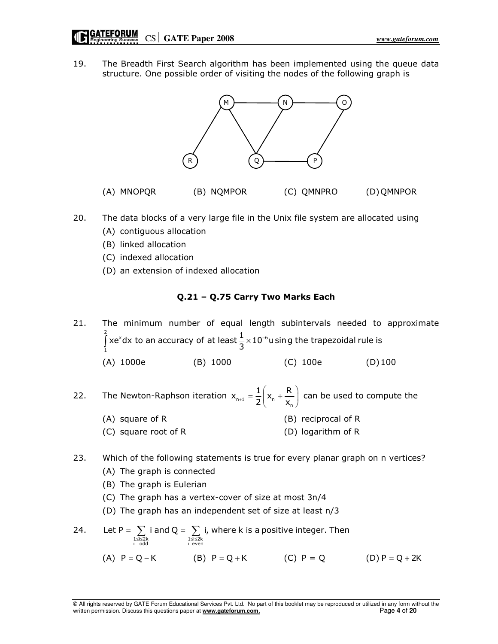19. The Breadth First Search algorithm has been implemented using the queue data structure. One possible order of visiting the nodes of the following graph is



- 20. The data blocks of a very large file in the Unix file system are allocated using
	- (A) contiguous allocation
	- (B) linked allocation
	- (C) indexed allocation
	- (D) an extension of indexed allocation

#### Q.21 – Q.75 Carry Two Marks Each

21. The minimum number of equal length subintervals needed to approximate  $\int \frac{2}{x}$  x dx to an accuracy of at loast  $\frac{1}{x}$  x 10<sup>-6</sup> 1 xe<sup>x</sup>dx to an accuracy of at least  $\frac{1}{3}$ ×10<sup>-6</sup>using the trapezoidal rule is  $\int$ xe<sup>x</sup>dx to an accuracy of at least $\frac{1}{3}$ ×10<sup>-</sup> (A) 1000e (B) 1000 (C) 100e (D) 100

- 22. The Newton-Raphson iteration  $x_{n+1} = \frac{1}{2} \left( x_n + \frac{1}{x_n} \right)$  $x_{n+1} = \frac{1}{2} \left( x_n + \frac{R}{x_n} \right)$  $= \frac{1}{2} \left( x_n + \frac{R}{x_n} \right)$  can be used to compute the
	- (A) square of R (B) reciprocal of R
	- (C) square root of R (D) logarithm of R
- 23. Which of the following statements is true for every planar graph on n vertices?
	- (A) The graph is connected
	- (B) The graph is Eulerian
	- (C) The graph has a vertex-cover of size at most 3n/4
	- (D) The graph has an independent set of size at least n/3
- 24. 1≤i≤2k 1≤i≤2k<br>i odd i even Let P =  $\sum$  i and Q =  $\sum$  i, where k is a positive integer. Then  $=\sum_{1\leq i\leq 2k}i$  and  $Q=\sum_{1\leq i\leq 2}$ 
	- (A)  $P = Q K$  (B)  $P = Q + K$  (C)  $P = Q$  (D)  $P = Q + 2K$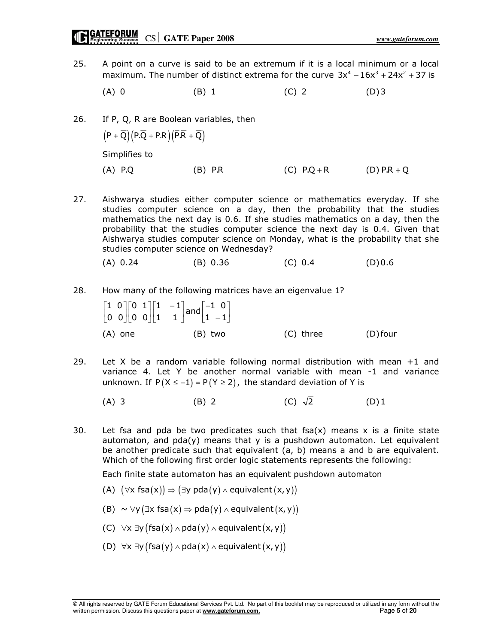- 25. A point on a curve is said to be an extremum if it is a local minimum or a local maximum. The number of distinct extrema for the curve  $3x^4 - 16x^3 + 24x^2 + 37$  is
- (A) 0 (B) 1 (C) 2 (D) 3
- 26. If P, Q, R are Boolean variables, then  $(P + \overline{Q}) (P.\overline{Q} + P.R) (\overline{P.R} + \overline{Q})$  Simplifies to (A) P.Q (B) P.R (C) P.Q + R (D) P.R + Q
- 27. Aishwarya studies either computer science or mathematics everyday. If she studies computer science on a day, then the probability that the studies mathematics the next day is 0.6. If she studies mathematics on a day, then the probability that the studies computer science the next day is 0.4. Given that Aishwarya studies computer science on Monday, what is the probability that she studies computer science on Wednesday?
	- (A) 0.24 (B) 0.36 (C) 0.4 (D) 0.6

#### 28. How many of the following matrices have an eigenvalue 1?

- $\begin{array}{|c|c|c|c|c|}\n 1 & 0 & 0 & 1 & 1 & -1 & 0 & 0 & 0 & 0 & 1 & 1 & 1 & -1 & 0 & 1 & -1 & 1 & -1 & 1 & -1 & 1 & -1 & 1 & -1 & 1 & -1 & 1 & -1 & 1 & -1 & 1 & -1 & 1 & -1 & 1 & -1 & 1 & -1 & 1 & -1 & 1 & -1 & 1 & -1 & 1 & -1 & 1 & -1 & 1 & -1 & 1 & -1 & 1 & -1 & 1 & -1 & 1 & -1 & 1 & -1 & 1 & -1 & 1 & -1 & 1 & -1 &$  $\begin{bmatrix} 1 & 0 \end{bmatrix} \begin{bmatrix} 0 & 1 \end{bmatrix} \begin{bmatrix} 1 & -1 \end{bmatrix}$  ,  $\begin{bmatrix} -1 & 0 \end{bmatrix}$  $\begin{bmatrix} 0 & 0 \end{bmatrix} \begin{bmatrix} 0 & 0 \end{bmatrix} \begin{bmatrix} 1 & 1 \end{bmatrix}$  and  $\begin{bmatrix} 1 & -1 \end{bmatrix}$  $(A)$  one  $(B)$  two  $(C)$  three  $(D)$  four
- 29. Let X be a random variable following normal distribution with mean +1 and variance 4. Let Y be another normal variable with mean -1 and variance unknown. If  $P(X \le -1) = P(Y ≥ 2)$ , the standard deviation of Y is
	- (A) 3 (B) 2 (C)  $\sqrt{2}$  (D) 1
- 30. Let fsa and pda be two predicates such that fsa(x) means x is a finite state automaton, and  $pda(y)$  means that y is a pushdown automaton. Let equivalent be another predicate such that equivalent (a, b) means a and b are equivalent. Which of the following first order logic statements represents the following:

Each finite state automaton has an equivalent pushdown automaton

- (A)  $(\forall x \text{ fsa}(x)) \Rightarrow (\exists y \text{ pda}(y) \land \text{ equivalent}(x, y))$
- (B)  $\sim \forall y (\exists x \text{ fsa}(x) \Rightarrow \text{pda}(y) \land \text{equivalent}(x, y))$
- (C)  $\forall x \exists y (fsa(x) \land pda(y) \land equivalent(x, y))$
- (D)  $\forall x \exists y (fsa(y) \land pda(x) \land equivalent(x, y))$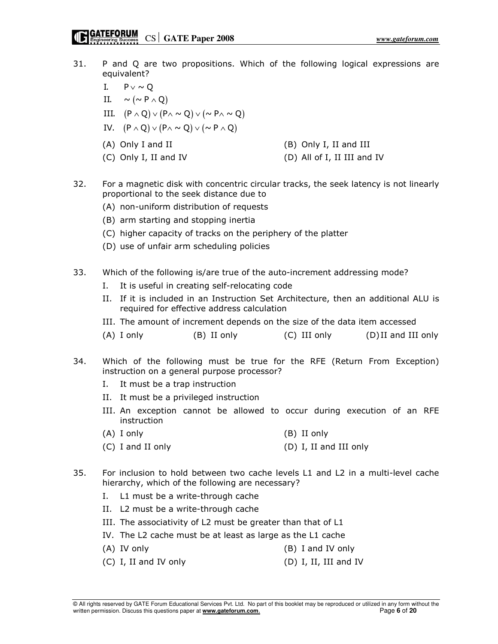- 31. P and Q are two propositions. Which of the following logical expressions are equivalent?
	- I.  $P \vee \sim Q$
	- II.  $\sim (\sim P \wedge Q)$
	- III.  $(P \wedge Q) \vee (P \wedge \sim Q) \vee (\sim P \wedge \sim Q)$
	- IV.  $(P \wedge Q) \vee (P \wedge \sim Q) \vee (\sim P \wedge Q)$
	- (A) Only I and II (B) Only I, II and III
	- (C) Only I, II and IV (D) All of I, II III and IV
- 
- 32. For a magnetic disk with concentric circular tracks, the seek latency is not linearly proportional to the seek distance due to
	- (A) non-uniform distribution of requests
	- (B) arm starting and stopping inertia
	- (C) higher capacity of tracks on the periphery of the platter
	- (D) use of unfair arm scheduling policies
- 33. Which of the following is/are true of the auto-increment addressing mode?
	- I. It is useful in creating self-relocating code
	- II. If it is included in an Instruction Set Architecture, then an additional ALU is required for effective address calculation
	- III. The amount of increment depends on the size of the data item accessed
	- (A) I only (B) II only (C) III only (D) II and III only
- 34. Which of the following must be true for the RFE (Return From Exception) instruction on a general purpose processor?
	- I. It must be a trap instruction
	- II. It must be a privileged instruction
	- III. An exception cannot be allowed to occur during execution of an RFE instruction
	- (A) I only (B) II only
	- (C) I and II only (D) I, II and III only
- 35. For inclusion to hold between two cache levels L1 and L2 in a multi-level cache hierarchy, which of the following are necessary?
	- I. L1 must be a write-through cache
	- II. L2 must be a write-through cache
	- III. The associativity of L2 must be greater than that of L1
	- IV. The L2 cache must be at least as large as the L1 cache
	- (A) IV only (B) I and IV only
	- (C) I, II and IV only (D) I, II, III and IV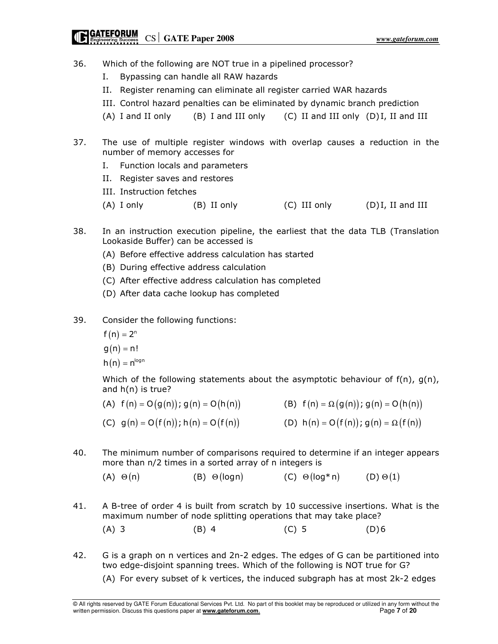### **CATEFORUM**<br>Engineering Success CS GATE Paper 2008

- 36. Which of the following are NOT true in a pipelined processor?
	- I. Bypassing can handle all RAW hazards
	- II. Register renaming can eliminate all register carried WAR hazards
	- III. Control hazard penalties can be eliminated by dynamic branch prediction
	- (A) I and II only (B) I and III only (C) II and III only (D) I, II and III
- 37. The use of multiple register windows with overlap causes a reduction in the number of memory accesses for
	- I. Function locals and parameters
	- II. Register saves and restores
	- III. Instruction fetches
	- (A) I only (B) II only (C) III only (D) I, II and III
- 38. In an instruction execution pipeline, the earliest that the data TLB (Translation Lookaside Buffer) can be accessed is
	- (A) Before effective address calculation has started
	- (B) During effective address calculation
	- (C) After effective address calculation has completed
	- (D) After data cache lookup has completed
- 39. Consider the following functions:
	- $f(n) = 2^n$
	- $g(n) = n!$
	- $h(n) = n^{\log n}$

Which of the following statements about the asymptotic behaviour of  $f(n)$ ,  $g(n)$ , and h(n) is true?

- (A)  $f(n) = O(g(n))$ ;  $g(n) = O(h(n))$  (B)  $f(n) = \Omega(g(n))$ ;  $g(n) = O(h(n))$
- (C)  $g(n) = O(f(n))$ ; h(n) =  $O(f(n))$  (D) h(n) =  $O(f(n))$ ; g(n) =  $\Omega(f(n))$
- 40. The minimum number of comparisons required to determine if an integer appears more than n/2 times in a sorted array of n integers is
	- (A)  $\Theta(n)$  (B)  $\Theta(\text{log }n)$  (C)  $\Theta(\text{log}^* n)$  (D)  $\Theta(1)$
- 41. A B-tree of order 4 is built from scratch by 10 successive insertions. What is the maximum number of node splitting operations that may take place? (A) 3 (B) 4 (C) 5 (D) 6
- 42. G is a graph on n vertices and 2n-2 edges. The edges of G can be partitioned into two edge-disjoint spanning trees. Which of the following is NOT true for G?
	- (A) For every subset of k vertices, the induced subgraph has at most 2k-2 edges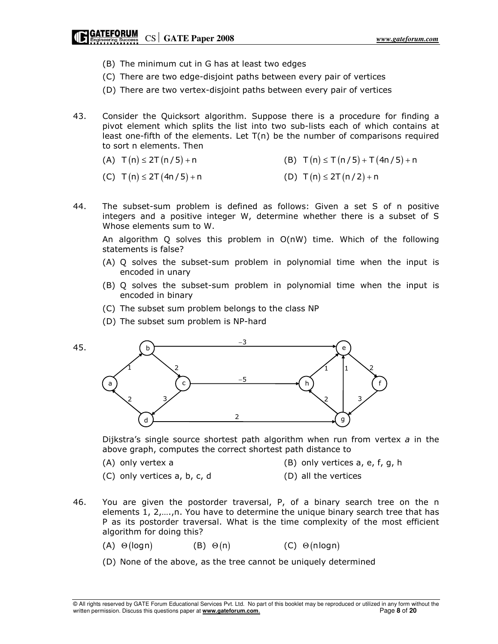### **CATEFORUM**<br> **Engineering Success** CS GATE Paper 2008

- (B) The minimum cut in G has at least two edges
- (C) There are two edge-disjoint paths between every pair of vertices
- (D) There are two vertex-disjoint paths between every pair of vertices
- 43. Consider the Quicksort algorithm. Suppose there is a procedure for finding a pivot element which splits the list into two sub-lists each of which contains at least one-fifth of the elements. Let T(n) be the number of comparisons required to sort n elements. Then
	- (A)  $T(n) \le 2T(n/5) + n$  (B)  $T(n) \le T(n/5) + T(4n/5) + n$
	- (C)  $T(n) \leq 2T(4n/5) + n$  (D)  $T(n) \leq 2T(n/2) + n$
- 44. The subset-sum problem is defined as follows: Given a set S of n positive integers and a positive integer W, determine whether there is a subset of S Whose elements sum to W.

 An algorithm Q solves this problem in O(nW) time. Which of the following statements is false?

- (A) Q solves the subset-sum problem in polynomial time when the input is encoded in unary
- (B) Q solves the subset-sum problem in polynomial time when the input is encoded in binary
- (C) The subset sum problem belongs to the class NP
- (D) The subset sum problem is NP-hard



Dijkstra's single source shortest path algorithm when run from vertex  $a$  in the above graph, computes the correct shortest path distance to

45.

- (A) only vertex a (B) only vertices a, e, f, g, h
- (C) only vertices a, b, c, d (D) all the vertices
- -
- 46. You are given the postorder traversal, P, of a binary search tree on the n elements 1, 2,….,n. You have to determine the unique binary search tree that has P as its postorder traversal. What is the time complexity of the most efficient algorithm for doing this?
	- (A)  $\Theta(\text{log} n)$  (B)  $\Theta(n)$  (C)  $\Theta(\text{nlog} n)$
	- (D) None of the above, as the tree cannot be uniquely determined

© All rights reserved by GATE Forum Educational Services Pvt. Ltd. No part of this booklet may be reproduced or utilized in any form without the written permission. Discuss this questions paper at **www.gateforum.com**. Page **8** of **20**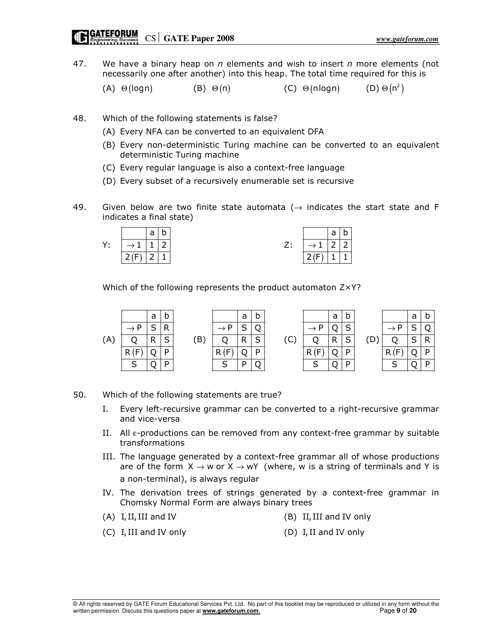# **CATEFORUM** CS GATE Paper 2008

47. We have a binary heap on  $n$  elements and wish to insert  $n$  more elements (not necessarily one after another) into this heap. The total time required for this is

(A)  $\Theta(\text{log} n)$  (B)  $\Theta(n)$  (C)  $\Theta(\text{nlog} n)$  $(D) \Theta(n^2)$ 

- 48. Which of the following statements is false?
	- (A) Every NFA can be converted to an equivalent DFA
	- (B) Every non-deterministic Turing machine can be converted to an equivalent deterministic Turing machine
	- (C) Every regular language is also a context-free language
	- (D) Every subset of a recursively enumerable set is recursive
- 49. Given below are two finite state automata ( $\rightarrow$  indicates the start state and F indicates a final state)

|    |                 | a                        | ►<br>u |    |                              | -             |        |
|----|-----------------|--------------------------|--------|----|------------------------------|---------------|--------|
| Υ: | $\rightarrow$ 1 | м<br>-                   | ∽      | 7. | $\sim$ 1                     | $\mathcal{L}$ | $\sim$ |
|    | D(E)<br>∼       | $\overline{\phantom{0}}$ |        |    | . $\mathfrak{I}(\mathsf{F})$ |               |        |

Which of the following represents the product automaton Z×Y?

|     |                | a       | b               |     |                | a | b           |             |                | a | b      |   |                | a               |   |
|-----|----------------|---------|-----------------|-----|----------------|---|-------------|-------------|----------------|---|--------|---|----------------|-----------------|---|
|     | . D            | c       | D               |     | D              | c | $\cap$      |             |                |   | ⌒<br>ب |   |                | ົ               |   |
| `A) |                | R<br>17 | $\epsilon$<br>ب | (B) |                | D | $\sim$<br>ت | $\sim$<br>◡ |                | R | c<br>ب | ◡ |                | $\epsilon$<br>ٮ | D |
|     | Έ<br>R.        |         | D               |     |                |   | D           |             | . .            |   | D      |   |                |                 |   |
|     | $\overline{ }$ |         | D               |     | $\overline{ }$ | D |             |             | $\overline{ }$ |   | D      |   | $\overline{ }$ |                 |   |

#### 50. Which of the following statements are true?

- I. Every left-recursive grammar can be converted to a right-recursive grammar and vice-versa
- II. All ε-productions can be removed from any context-free grammar by suitable transformations
- III. The language generated by a context-free grammar all of whose productions are of the form  $X \rightarrow w$  or  $X \rightarrow wY$  (where, w is a string of terminals and Y is a non-terminal), is always regular
- IV. The derivation trees of strings generated by a context-free grammar in Chomsky Normal Form are always binary trees
- 
- (A) I, II, III and IV (B) II, III and IV only
- (C) I, III and IV only (D) I, II and IV only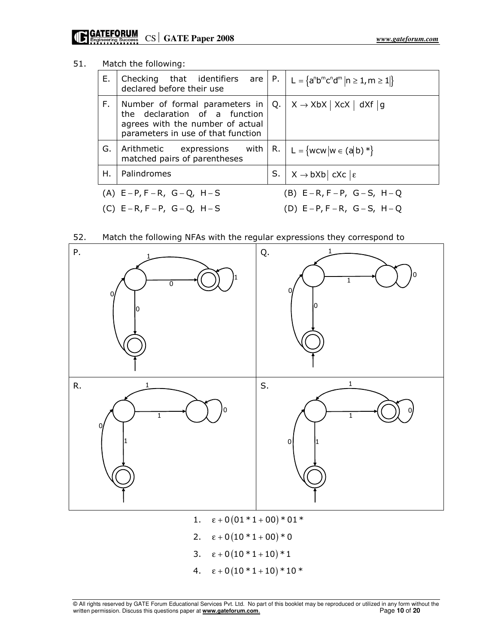### 51. Match the following:

| Е. | Checking that identifiers are $\begin{vmatrix} P & \end{vmatrix} L = \{a^n b^m c^n d^m   n \ge 1, m \ge 1 \}$<br>declared before their use |                                           |                                            |  |  |
|----|--------------------------------------------------------------------------------------------------------------------------------------------|-------------------------------------------|--------------------------------------------|--|--|
| F. | Number of formal parameters in<br>the declaration of a function<br>agrees with the number of actual<br>parameters in use of that function  | Q.                                        | $X \rightarrow XbX$   XcX   dXf  g         |  |  |
| G. | Arithmetic expressions with<br>matched pairs of parentheses                                                                                |                                           | R. $L = \{wcw w \in (a b) * \}$            |  |  |
| Η. | Palindromes                                                                                                                                |                                           | S. $ X \rightarrow bXb  cXc   \varepsilon$ |  |  |
|    | (A) $E-P, F-R, G-Q, H-S$                                                                                                                   | (B) $E - R$ , $F - P$ , $G - S$ , $H - Q$ |                                            |  |  |
|    | (C) $E - R$ , $F - P$ , $G - Q$ , $H - S$                                                                                                  | (D) $E - P$ , $F - R$ , $G - S$ , $H - Q$ |                                            |  |  |





2.  $\epsilon + 0 (10 * 1 + 00) * 0$ 3.  $\epsilon + 0(10 * 1 + 10) * 1$ 4.  $\epsilon + 0(10 * 1 + 10) * 10 *$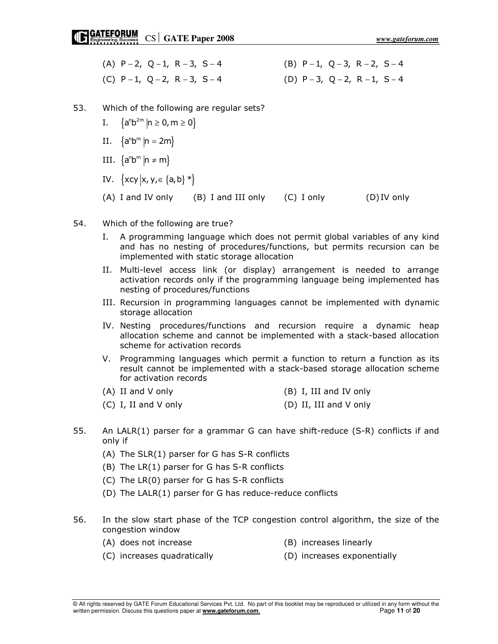| (A) $P - 2$ , $Q - 1$ , $R - 3$ , $S - 4$ | (B) $P-1$ , $Q-3$ , $R-2$ , $S-4$ |
|-------------------------------------------|-----------------------------------|
| (C) $P-1$ , $Q-2$ , $R-3$ , $S-4$         | (D) $P-3$ , $Q-2$ , $R-1$ , $S-4$ |

- 53. Which of the following are regular sets?
- $I. \quad \{a^n b^{2m} | n \ge 0, m \ge 0\}$
- $II. \quad \{a^n b^m \, | n = 2m\}$
- III.  $\{a^n b^m | n \neq m\}$ 
	- IV.  $\{xcy|x, y, \in \{a,b\}*\}$
	- (A) I and IV only (B) I and III only (C) I only (D) IV only
- 54. Which of the following are true?
	- I. A programming language which does not permit global variables of any kind and has no nesting of procedures/functions, but permits recursion can be implemented with static storage allocation
	- II. Multi-level access link (or display) arrangement is needed to arrange activation records only if the programming language being implemented has nesting of procedures/functions
	- III. Recursion in programming languages cannot be implemented with dynamic storage allocation
	- IV. Nesting procedures/functions and recursion require a dynamic heap allocation scheme and cannot be implemented with a stack-based allocation scheme for activation records
	- V. Programming languages which permit a function to return a function as its result cannot be implemented with a stack-based storage allocation scheme for activation records
	- (A) II and V only (B) I, III and IV only
	- (C) I, II and V only (D) II, III and V only
- 55. An LALR(1) parser for a grammar G can have shift-reduce (S-R) conflicts if and only if
	- (A) The SLR(1) parser for G has S-R conflicts
	- (B) The LR(1) parser for G has S-R conflicts
	- (C) The LR(0) parser for G has S-R conflicts
	- (D) The LALR(1) parser for G has reduce-reduce conflicts
- 56. In the slow start phase of the TCP congestion control algorithm, the size of the congestion window
	- (A) does not increase (B) increases linearly
	- (C) increases quadratically (D) increases exponentially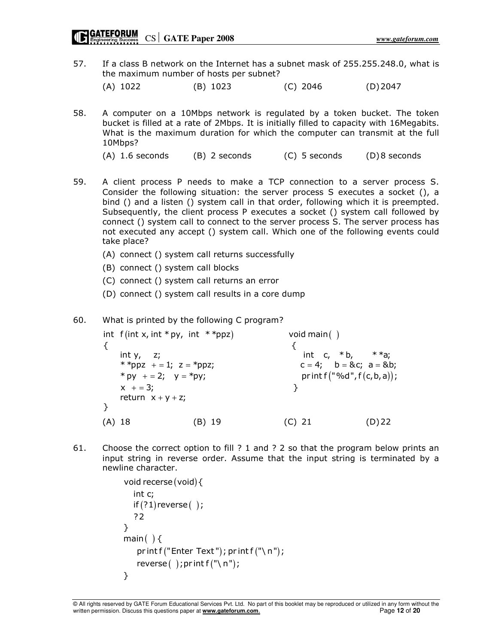57. If a class B network on the Internet has a subnet mask of 255.255.248.0, what is the maximum number of hosts per subnet?

(A) 1022 (B) 1023 (C) 2046 (D) 2047

- 58. A computer on a 10Mbps network is regulated by a token bucket. The token bucket is filled at a rate of 2Mbps. It is initially filled to capacity with 16Megabits. What is the maximum duration for which the computer can transmit at the full 10Mbps?
	- (A)  $1.6$  seconds (B) 2 seconds (C) 5 seconds (D) 8 seconds
- 59. A client process P needs to make a TCP connection to a server process S. Consider the following situation: the server process S executes a socket (), a bind () and a listen () system call in that order, following which it is preempted. Subsequently, the client process P executes a socket () system call followed by connect () system call to connect to the server process S. The server process has not executed any accept () system call. Which one of the following events could take place?
	- (A) connect () system call returns successfully
	- (B) connect () system call blocks
	- (C) connect () system call returns an error
	- (D) connect () system call results in a core dump

60. What is printed by the following C program?

int  $f(int x, int * py, int * *ppz)$  void main() \* py + = 2; y = \* py; <br> print f  $("%d", f(c, b, a))$ ; { $\{$ int y, z;  $\qquad \qquad$  int c,  $*$  b,  $**$ a; \* \*ppz + = 1;  $z =$  \*ppz;  $x + 3;$  } return  $x + y + z$ ; }  $c = 4$ ;  $b = 8c$ ;  $a = 8b$ ; \* py + = 2;  $y =$ \*py; (A) 18 (B) 19 (C) 21 (D) 22

61. Choose the correct option to fill ? 1 and ? 2 so that the program below prints an input string in reverse order. Assume that the input string is terminated by a newline character.

```
void recerse (void) {
  if (?1)reverse( );
main()print f("Enter Text"); print f("\\reverse( ); pr int f("\n\cdot n");
  int c;
  ?2
}
}
```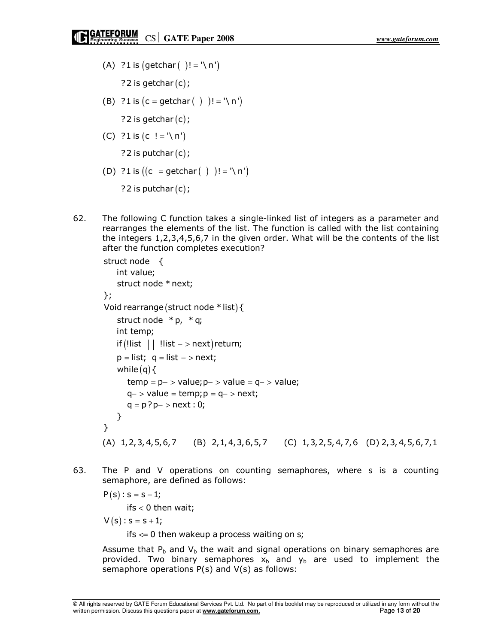- (A) ?1 is  $(\text{getchar}( )! = \, \wedge \, n')$ ? 2 is getchar  $(c)$ ;
- (B) ?1 is  $(c = getchar( ) ) ! = '\n'$ 
	- ? 2 is getchar  $(c)$ ;
- (C) ?1 is  $(c' = \n\sqrt{n})$ 
	- ? 2 is putchar $(c)$ ;
- (D) ?1 is  $((c = getchar( ) ) ! = '\n'$

? 2 is putchar  $(c)$  ;

62. The following C function takes a single-linked list of integers as a parameter and rearranges the elements of the list. The function is called with the list containing the integers 1,2,3,4,5,6,7 in the given order. What will be the contents of the list after the function completes execution?

```
Void rearrange (struct node * list) {
    if (!list | | !list - > next)return;
    while (q) {
struct node {
   int value;
   struct node * next;
};
   struct node * p, * q;
   int temp;
    p = list; q = list - > next;
      temp = p - \sum value; p - \sum value = q - \sum value;q - > value = temp; p = q - > next;
      q = p ? p - > next : 0;}
}
 (A) 1,2,3, 4,5,6,7 (B) 2,1, 4,3,6,5,7 (C) 1,3,2,5, 4,7,6 (D) 2,3, 4,5,6,7,1
```
63. The P and V operations on counting semaphores, where s is a counting semaphore, are defined as follows:

$$
P(s):s=s-1;
$$

- ifs  $< 0$  then wait;
- $V(s)$ :  $s = s + 1;$ 
	- ifs  $\leq 0$  then wakeup a process waiting on s;

Assume that  $P_b$  and  $V_b$  the wait and signal operations on binary semaphores are provided. Two binary semaphores  $x_b$  and  $y_b$  are used to implement the semaphore operations P(s) and V(s) as follows: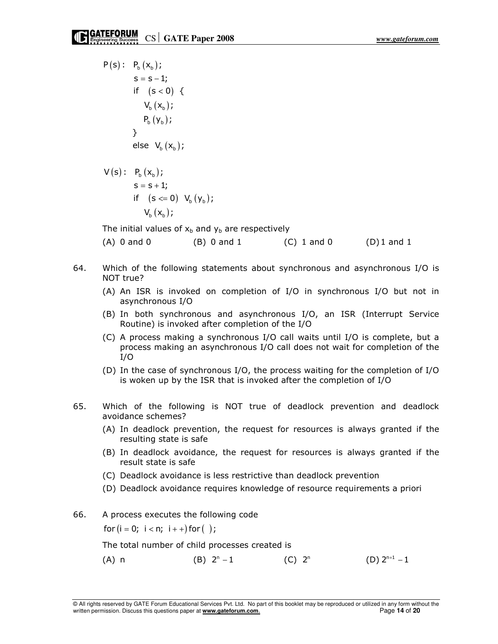$P(s) : P_b(x_b);$ if  $(s < 0) \{$  $V_{b} (x_{b})$  ;  $P_b(y_b);$ else  $V_b(x_b);$  $s = s - 1;$ }

$$
V(s): P_b(x_b);
$$
  
s = s + 1;  
if (s <= 0) V<sub>b</sub>(y<sub>b</sub>);  

$$
V_b(x_b);
$$

The initial values of  $x<sub>b</sub>$  and  $y<sub>b</sub>$  are respectively

(A) 0 and 0 (B) 0 and 1 (C) 1 and 0 (D) 1 and 1

- 64. Which of the following statements about synchronous and asynchronous I/O is NOT true?
	- (A) An ISR is invoked on completion of I/O in synchronous I/O but not in asynchronous I/O
	- (B) In both synchronous and asynchronous I/O, an ISR (Interrupt Service Routine) is invoked after completion of the I/O
	- (C) A process making a synchronous I/O call waits until I/O is complete, but a process making an asynchronous I/O call does not wait for completion of the I/O
	- (D) In the case of synchronous I/O, the process waiting for the completion of I/O is woken up by the ISR that is invoked after the completion of I/O
- 65. Which of the following is NOT true of deadlock prevention and deadlock avoidance schemes?
	- (A) In deadlock prevention, the request for resources is always granted if the resulting state is safe
	- (B) In deadlock avoidance, the request for resources is always granted if the result state is safe
	- (C) Deadlock avoidance is less restrictive than deadlock prevention
	- (D) Deadlock avoidance requires knowledge of resource requirements a priori
- 66. A process executes the following code

for  $(i = 0; i < n; i++)$  for  $( )$ ;

The total number of child processes created is

(A) n (B)  $2^n - 1$  (C)  $2^n$  (D)  $2^{n+1} - 1$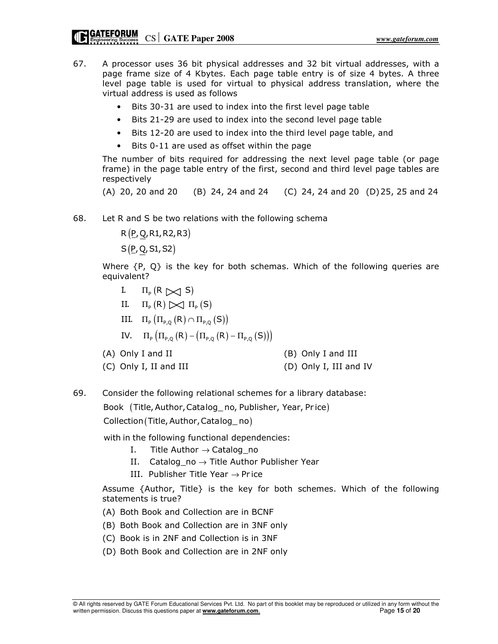- 67. A processor uses 36 bit physical addresses and 32 bit virtual addresses, with a page frame size of 4 Kbytes. Each page table entry is of size 4 bytes. A three level page table is used for virtual to physical address translation, where the virtual address is used as follows
	- Bits 30-31 are used to index into the first level page table
	- Bits 21-29 are used to index into the second level page table
	- Bits 12-20 are used to index into the third level page table, and
	- Bits 0-11 are used as offset within the page

The number of bits required for addressing the next level page table (or page frame) in the page table entry of the first, second and third level page tables are respectively

(A) 20, 20 and 20 (B) 24, 24 and 24 (C) 24, 24 and 20 (D) 25, 25 and 24

68. Let R and S be two relations with the following schema

R (P, Q, R1, R2, R3)

 $S(\underline{P},\underline{Q},S1,S2)$ 

Where {P, Q} is the key for both schemas. Which of the following queries are equivalent?

- I.  $\Pi_{\rm P}({\rm R}\not{\sim}]$  S)
- II.  $\Pi_{\rm P}({\sf R})\triangleright\!\!\!\triangleleft \Pi_{\rm P}({\sf S})$
- III.  $\Pi_{P} (\Pi_{P,Q} (R) \cap \Pi_{P,Q} (S))$

IV.  $\Pi_{\mathsf{P}} \left( \Pi_{\mathsf{P},\mathsf{Q}} \left( \mathsf{R} \right) - \left( \Pi_{\mathsf{P},\mathsf{Q}} \left( \mathsf{R} \right) - \Pi_{\mathsf{P},\mathsf{Q}} \left( \mathsf{S} \right) \right) \right)$ 

- 
- (A) Only I and II (B) Only I and III
- (C) Only I, II and III (D) Only I, III and IV
- 69. Consider the following relational schemes for a library database:

Book (Title, Author, Catalog\_no, Publisher, Year, Price)

Collection (Title, Author, Catalog\_no)

with in the following functional dependencies:

- I. Title Author  $\rightarrow$  Catalog\_no
- II.  $\text{ Catalog\_no} \rightarrow \text{Title}$  Author Publisher Year
- III. Publisher Title Year  $\rightarrow$  Pr ice

Assume {Author, Title} is the key for both schemes. Which of the following statements is true?

- (A) Both Book and Collection are in BCNF
- (B) Both Book and Collection are in 3NF only
- (C) Book is in 2NF and Collection is in 3NF
- (D) Both Book and Collection are in 2NF only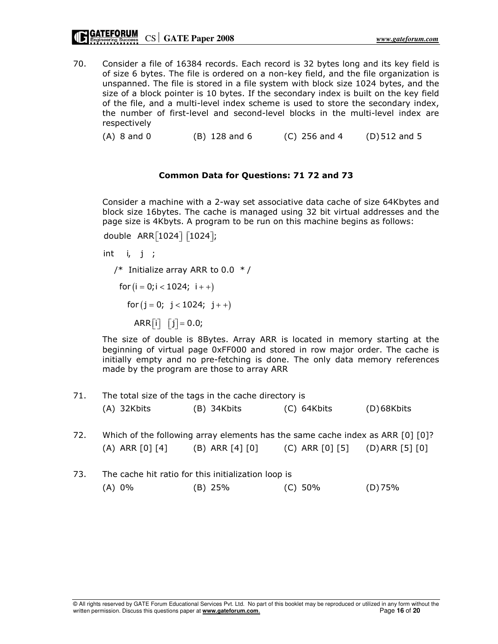70. Consider a file of 16384 records. Each record is 32 bytes long and its key field is of size 6 bytes. The file is ordered on a non-key field, and the file organization is unspanned. The file is stored in a file system with block size 1024 bytes, and the size of a block pointer is 10 bytes. If the secondary index is built on the key field of the file, and a multi-level index scheme is used to store the secondary index, the number of first-level and second-level blocks in the multi-level index are respectively

(A) 8 and 0 (B) 128 and 6 (C) 256 and 4 (D) 512 and 5

#### Common Data for Questions: 71 72 and 73

Consider a machine with a 2-way set associative data cache of size 64Kbytes and block size 16bytes. The cache is managed using 32 bit virtual addresses and the page size is 4Kbyts. A program to be run on this machine begins as follows:

double ARR[1024] [1024];

int  $i, j;$ 

for  $(i = 0; i < 1024; i++)$ for  $(j = 0; j < 1024; j++)$ /\* Initialize array ARR to 0.0  $*/$  $\mathsf{ARR}[i] \quad [j] = 0.0;$ 

The size of double is 8Bytes. Array ARR is located in memory starting at the beginning of virtual page 0xFF000 and stored in row major order. The cache is initially empty and no pre-fetching is done. The only data memory references made by the program are those to array ARR

- 71. The total size of the tags in the cache directory is (A) 32Kbits (B) 34Kbits (C) 64Kbits (D) 68Kbits
- 72. Which of the following array elements has the same cache index as ARR [0] [0]? (A) ARR [0] [4] (B) ARR [4] [0] (C) ARR [0] [5] (D) ARR [5] [0]
- 73. The cache hit ratio for this initialization loop is (A) 0% (B) 25% (C) 50% (D) 75%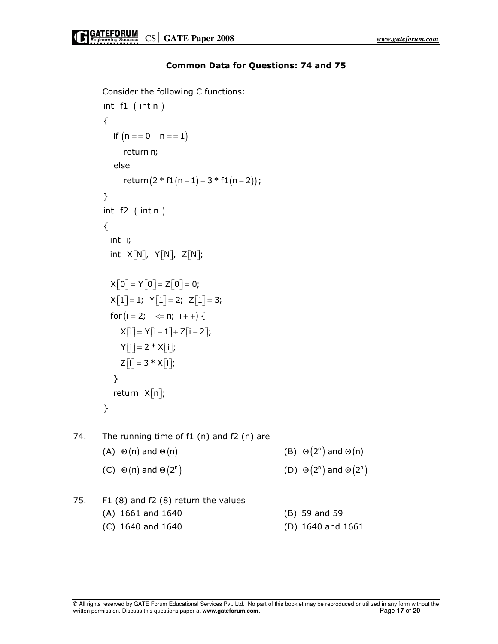```
 Consider the following C functions: 
       int f1 (int n)
         if (n == 0 | | n == 1)return (2 * f1(n-1) + 3 * f1(n-2));int f2 (int n)for (i = 2; i \le n; i++) {
       {
           return n;
         else
       }
       {
        int i;
         int X[N], Y[N], Z[N];X[0] = Y[0] = Z[0] = 0;X[1] = 1; Y[1] = 2; Z[1] = 3;X[i] = Y[i-1] + Z[i-2];Y[i] = 2 * X[i];Z[i] = 3 * X[i];}
         return X[n];}
74. The running time of f1 (n) and f2 (n) are
(A) \Theta(n) and \Theta(n) (B) \Theta(2^n) and \Theta(n)(C) \Theta(n) and \Theta(2^n)\Theta(n) and \Theta(2^n) (D) \Theta(2^n) and \Theta(2^n)75. F1 (8) and f2 (8) return the values 
        (A) 1661 and 1640 (B) 59 and 59
```
#### Common Data for Questions: 74 and 75

(C) 1640 and 1640 (D) 1640 and 1661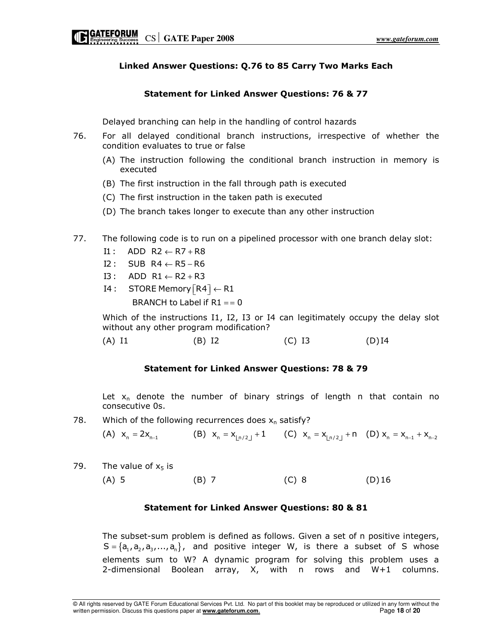#### Linked Answer Questions: Q.76 to 85 Carry Two Marks Each

#### Statement for Linked Answer Questions: 76 & 77

Delayed branching can help in the handling of control hazards

- 76. For all delayed conditional branch instructions, irrespective of whether the condition evaluates to true or false
	- (A) The instruction following the conditional branch instruction in memory is executed
	- (B) The first instruction in the fall through path is executed
	- (C) The first instruction in the taken path is executed
	- (D) The branch takes longer to execute than any other instruction
- 77. The following code is to run on a pipelined processor with one branch delay slot:
	- $I1:$  ADD R2  $\leftarrow$  R7 + R8
	- $I2:$  SUB R4  $\leftarrow$  R5 R6
	- $I3:$  ADD  $R1 \leftarrow R2 + R3$
	- $\mathsf{I4}:\quad \mathsf{STORE}\, \mathsf{Memory}\big[\mathsf{R4}\big]\!\leftarrow\!\mathsf{R1}$ BRANCH to Label if  $R1 = 0$

Which of the instructions I1, I2, I3 or I4 can legitimately occupy the delay slot without any other program modification?

(A) I1 (B) I2 (C) I3 (D) I4

#### Statement for Linked Answer Questions: 78 & 79

Let  $x_n$  denote the number of binary strings of length n that contain no consecutive 0s.

78. Which of the following recurrences does  $x_n$  satisfy?

(A)  $x_n = 2x_{n-1}$  $= 2x_{n-1}$  (B)  $x_n = x_{\lfloor n/2 \rfloor} + 1$  (C)  $x_n = x_{\lfloor n/2 \rfloor} + n$  (D)  $x_n = x_{n-1} + x_{n-2}$ 

- 79. The value of  $x_5$  is
- (A) 5 (B) 7 (C) 8 (D) 16

#### Statement for Linked Answer Questions: 80 & 81

The subset-sum problem is defined as follows. Given a set of n positive integers,  $S = \{a_1, a_2, a_3, \ldots, a_n\}$ , and positive integer W, is there a subset of S whose elements sum to W? A dynamic program for solving this problem uses a 2-dimensional Boolean array, X, with n rows and W+1 columns.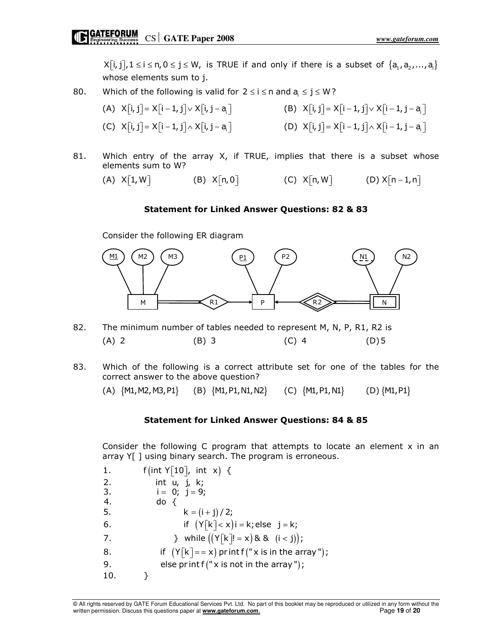$X[i, j], 1 \le i \le n, 0 \le j \le W$ , is TRUE if and only if there is a subset of  $\{a_1, a_2, ..., a_i\}$ whose elements sum to j.

80. Which of the following is valid for  $2 \le i \le n$  and  $a_i \le j \le W$ ?

(A) 
$$
X[i, j] = X[i-1, j] \vee X[i, j-a]
$$

\n(B)  $X[i, j] = X[i-1, j] \vee X[i-1, j-a]$ 

\n(C)  $X[i, j] = X[i-1, j] \wedge X[i, j-a]$ 

\n(D)  $X[i, j] = X[i-1, j] \wedge X[i-1, j-a]$ 

81. Which entry of the array  $X$ , if TRUE, implies that there is a subset whose elements sum to W?

$$
(A) X[1, W] \qquad \qquad (B) X[n, 0] \qquad \qquad (C) X[n, W] \qquad \qquad (D) X[n-1, n]
$$

#### Statement for Linked Answer Questions: 82 & 83

Consider the following ER diagram



- 82. The minimum number of tables needed to represent M, N, P, R1, R2 is (A) 2 (B) 3 (C) 4 (D) 5
- 83. Which of the following is a correct attribute set for one of the tables for the correct answer to the above question?

(A) {M1,M2,M3,P1} (B) {M1,P1,N1,N2} (C) {M1,P1,N1} (D) {M1,P1}

#### Statement for Linked Answer Questions: 84 & 85

Consider the following C program that attempts to locate an element x in an array Y[ ] using binary search. The program is erroneous.

1.  $f(int Y[10], int x)$  { 5.  $k = (i + j) / 2;$ 6. if  $(Y[k] <sup>$x$</sup> )i = k; else j = k;$ 7.  $\} \text{ while } ((Y[k]! = x) \& 8 \quad (i < j)) ;$ 8. if  $(Y[k] == x)$  print f  $("x is in the array");$ 9. else print  $f("x is not in the array");$ 2. int u, j, k; 3.  $i = 0; j = 9;$ 4. do { 10. }